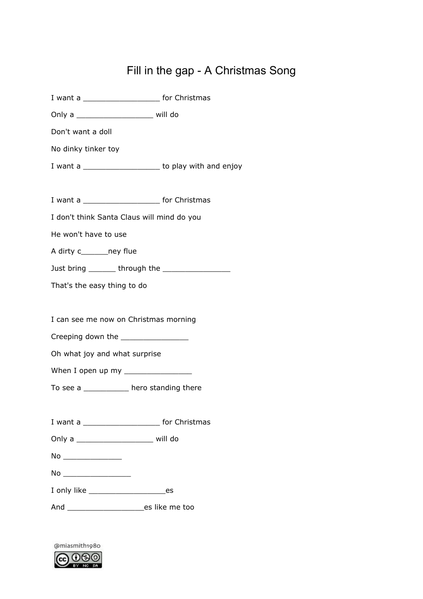## Fill in the gap - A Christmas Song

|                                               | I want a __________________________ for Christmas        |
|-----------------------------------------------|----------------------------------------------------------|
| Only a ______________________________ will do |                                                          |
| Don't want a doll                             |                                                          |
| No dinky tinker toy                           |                                                          |
|                                               | I want a ________________________ to play with and enjoy |
|                                               |                                                          |
|                                               | I want a __________________________ for Christmas        |
| I don't think Santa Claus will mind do you    |                                                          |
| He won't have to use                          |                                                          |
| A dirty c________ney flue                     |                                                          |
|                                               |                                                          |
| That's the easy thing to do                   |                                                          |
|                                               |                                                          |
| I can see me now on Christmas morning         |                                                          |
| Creeping down the ___________________         |                                                          |
| Oh what joy and what surprise                 |                                                          |
|                                               |                                                          |
| To see a ____________ hero standing there     |                                                          |
|                                               |                                                          |
|                                               | I want a _________________________ for Christmas         |
| Only a __________________________ will do     |                                                          |
| No _________________                          |                                                          |
|                                               |                                                          |
|                                               |                                                          |
|                                               |                                                          |
|                                               |                                                          |

@miasmith1980